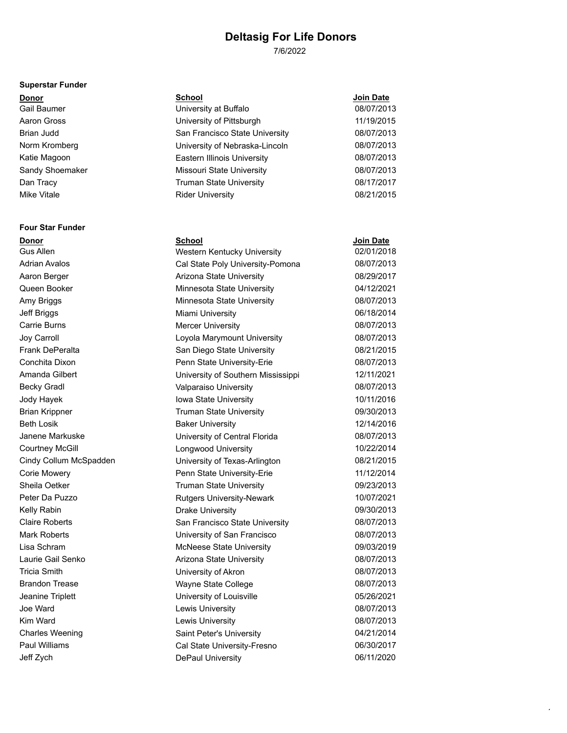7/6/2022

#### **Superstar Funder**

**Four Star Funder**

| <b>Donor</b>    | <b>School</b>                      | Join Date  |
|-----------------|------------------------------------|------------|
| Gail Baumer     | University at Buffalo              | 08/07/2013 |
| Aaron Gross     | University of Pittsburgh           | 11/19/2015 |
| Brian Judd      | San Francisco State University     | 08/07/2013 |
| Norm Kromberg   | University of Nebraska-Lincoln     | 08/07/2013 |
| Katie Magoon    | <b>Eastern Illinois University</b> | 08/07/2013 |
| Sandy Shoemaker | Missouri State University          | 08/07/2013 |
| Dan Tracy       | <b>Truman State University</b>     | 08/17/2017 |
| Mike Vitale     | <b>Rider University</b>            | 08/21/2015 |

| <b>Donor</b>           | School                             | <b>Join Date</b> |
|------------------------|------------------------------------|------------------|
| Gus Allen              | Western Kentucky University        | 02/01/2018       |
| <b>Adrian Avalos</b>   | Cal State Poly University-Pomona   | 08/07/2013       |
| Aaron Berger           | Arizona State University           | 08/29/2017       |
| Queen Booker           | Minnesota State University         | 04/12/2021       |
| Amy Briggs             | Minnesota State University         | 08/07/2013       |
| Jeff Briggs            | <b>Miami University</b>            | 06/18/2014       |
| <b>Carrie Burns</b>    | <b>Mercer University</b>           | 08/07/2013       |
| Joy Carroll            | Loyola Marymount University        | 08/07/2013       |
| <b>Frank DePeralta</b> | San Diego State University         | 08/21/2015       |
| Conchita Dixon         | Penn State University-Erie         | 08/07/2013       |
| Amanda Gilbert         | University of Southern Mississippi | 12/11/2021       |
| <b>Becky Gradl</b>     | Valparaiso University              | 08/07/2013       |
| Jody Hayek             | Iowa State University              | 10/11/2016       |
| <b>Brian Krippner</b>  | <b>Truman State University</b>     | 09/30/2013       |
| <b>Beth Losik</b>      | <b>Baker University</b>            | 12/14/2016       |
| Janene Markuske        | University of Central Florida      | 08/07/2013       |
| <b>Courtney McGill</b> | <b>Longwood University</b>         | 10/22/2014       |
| Cindy Collum McSpadden | University of Texas-Arlington      | 08/21/2015       |
| <b>Corie Mowery</b>    | Penn State University-Erie         | 11/12/2014       |
| Sheila Oetker          | <b>Truman State University</b>     | 09/23/2013       |
| Peter Da Puzzo         | <b>Rutgers University-Newark</b>   | 10/07/2021       |
| Kelly Rabin            | <b>Drake University</b>            | 09/30/2013       |
| <b>Claire Roberts</b>  | San Francisco State University     | 08/07/2013       |
| Mark Roberts           | University of San Francisco        | 08/07/2013       |
| Lisa Schram            | <b>McNeese State University</b>    | 09/03/2019       |
| Laurie Gail Senko      | Arizona State University           | 08/07/2013       |
| <b>Tricia Smith</b>    | University of Akron                | 08/07/2013       |
| <b>Brandon Trease</b>  | Wayne State College                | 08/07/2013       |
| Jeanine Triplett       | University of Louisville           | 05/26/2021       |
| Joe Ward               | Lewis University                   | 08/07/2013       |
| Kim Ward               | <b>Lewis University</b>            | 08/07/2013       |
| <b>Charles Weening</b> | Saint Peter's University           | 04/21/2014       |
| <b>Paul Williams</b>   | Cal State University-Fresno        | 06/30/2017       |
| Jeff Zych              | <b>DePaul University</b>           | 06/11/2020       |

 $\cdot$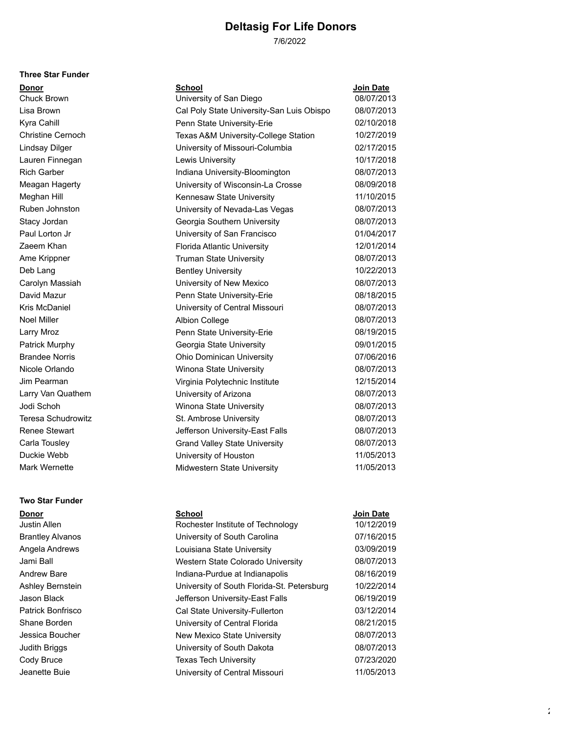7/6/2022

#### **Three Star Funder**

| Donor                 | <b>School</b>                             | Join Date  |
|-----------------------|-------------------------------------------|------------|
| Chuck Brown           | University of San Diego                   | 08/07/2013 |
| Lisa Brown            | Cal Poly State University-San Luis Obispo | 08/07/2013 |
| Kyra Cahill           | Penn State University-Erie                | 02/10/2018 |
| Christine Cernoch     | Texas A&M University-College Station      | 10/27/2019 |
| Lindsay Dilger        | University of Missouri-Columbia           | 02/17/2015 |
| Lauren Finnegan       | Lewis University                          | 10/17/2018 |
| <b>Rich Garber</b>    | Indiana University-Bloomington            | 08/07/2013 |
| Meagan Hagerty        | University of Wisconsin-La Crosse         | 08/09/2018 |
| Meghan Hill           | Kennesaw State University                 | 11/10/2015 |
| Ruben Johnston        | University of Nevada-Las Vegas            | 08/07/2013 |
| Stacy Jordan          | Georgia Southern University               | 08/07/2013 |
| Paul Lorton Jr        | University of San Francisco               | 01/04/2017 |
| Zaeem Khan            | Florida Atlantic University               | 12/01/2014 |
| Ame Krippner          | <b>Truman State University</b>            | 08/07/2013 |
| Deb Lang              | <b>Bentley University</b>                 | 10/22/2013 |
| Carolyn Massiah       | University of New Mexico                  | 08/07/2013 |
| David Mazur           | Penn State University-Erie                | 08/18/2015 |
| Kris McDaniel         | University of Central Missouri            | 08/07/2013 |
| Noel Miller           | <b>Albion College</b>                     | 08/07/2013 |
| Larry Mroz            | Penn State University-Erie                | 08/19/2015 |
| Patrick Murphy        | Georgia State University                  | 09/01/2015 |
| <b>Brandee Norris</b> | <b>Ohio Dominican University</b>          | 07/06/2016 |
| Nicole Orlando        | Winona State University                   | 08/07/2013 |
| Jim Pearman           | Virginia Polytechnic Institute            | 12/15/2014 |
| Larry Van Quathem     | University of Arizona                     | 08/07/2013 |
| Jodi Schoh            | Winona State University                   | 08/07/2013 |
| Teresa Schudrowitz    | St. Ambrose University                    | 08/07/2013 |
| Renee Stewart         | Jefferson University-East Falls           | 08/07/2013 |
| Carla Tousley         | <b>Grand Valley State University</b>      | 08/07/2013 |
| Duckie Webb           | University of Houston                     | 11/05/2013 |
| Mark Wernette         | Midwestern State University               | 11/05/2013 |
|                       |                                           |            |

# **Two Star Funder**

| <b>Donor</b>            | <b>School</b>                              | <b>Join Date</b> |
|-------------------------|--------------------------------------------|------------------|
| Justin Allen            | Rochester Institute of Technology          | 10/12/2019       |
| <b>Brantley Alvanos</b> | University of South Carolina               | 07/16/2015       |
| Angela Andrews          | Louisiana State University                 | 03/09/2019       |
| Jami Ball               | Western State Colorado University          | 08/07/2013       |
| Andrew Bare             | Indiana-Purdue at Indianapolis             | 08/16/2019       |
| Ashley Bernstein        | University of South Florida-St. Petersburg | 10/22/2014       |
| Jason Black             | Jefferson University-East Falls            | 06/19/2019       |
| Patrick Bonfrisco       | Cal State University-Fullerton             | 03/12/2014       |
| Shane Borden            | University of Central Florida              | 08/21/2015       |
| Jessica Boucher         | New Mexico State University                | 08/07/2013       |
| <b>Judith Briggs</b>    | University of South Dakota                 | 08/07/2013       |
| Cody Bruce              | <b>Texas Tech University</b>               | 07/23/2020       |
| Jeanette Buie           | University of Central Missouri             | 11/05/2013       |
|                         |                                            |                  |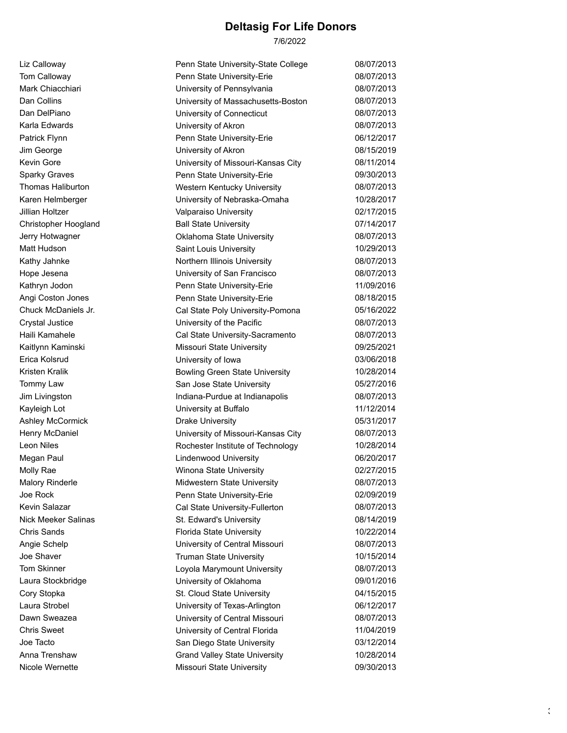7/6/2022

| Liz Calloway               | Penn State University-State College   | 08/07/2013 |
|----------------------------|---------------------------------------|------------|
| Tom Calloway               | Penn State University-Erie            | 08/07/2013 |
| Mark Chiacchiari           | University of Pennsylvania            | 08/07/2013 |
| Dan Collins                | University of Massachusetts-Boston    | 08/07/2013 |
| Dan DelPiano               | University of Connecticut             | 08/07/2013 |
| Karla Edwards              | University of Akron                   | 08/07/2013 |
| Patrick Flynn              | Penn State University-Erie            | 06/12/2017 |
| Jim George                 | University of Akron                   | 08/15/2019 |
| Kevin Gore                 | University of Missouri-Kansas City    | 08/11/2014 |
| <b>Sparky Graves</b>       | Penn State University-Erie            | 09/30/2013 |
| Thomas Haliburton          | Western Kentucky University           | 08/07/2013 |
| Karen Helmberger           | University of Nebraska-Omaha          | 10/28/2017 |
| Jillian Holtzer            | Valparaiso University                 | 02/17/2015 |
| Christopher Hoogland       | <b>Ball State University</b>          | 07/14/2017 |
| Jerry Hotwagner            | Oklahoma State University             | 08/07/2013 |
| Matt Hudson                | Saint Louis University                | 10/29/2013 |
| Kathy Jahnke               | Northern Illinois University          | 08/07/2013 |
| Hope Jesena                | University of San Francisco           | 08/07/2013 |
| Kathryn Jodon              | Penn State University-Erie            | 11/09/2016 |
| Angi Coston Jones          | Penn State University-Erie            | 08/18/2015 |
| Chuck McDaniels Jr.        | Cal State Poly University-Pomona      | 05/16/2022 |
| <b>Crystal Justice</b>     | University of the Pacific             | 08/07/2013 |
| Haili Kamahele             | Cal State University-Sacramento       | 08/07/2013 |
| Kaitlynn Kaminski          | Missouri State University             | 09/25/2021 |
| Erica Kolsrud              | University of Iowa                    | 03/06/2018 |
| <b>Kristen Kralik</b>      | <b>Bowling Green State University</b> | 10/28/2014 |
| Tommy Law                  | San Jose State University             | 05/27/2016 |
| Jim Livingston             | Indiana-Purdue at Indianapolis        | 08/07/2013 |
| Kayleigh Lot               | University at Buffalo                 | 11/12/2014 |
| Ashley McCormick           | <b>Drake University</b>               | 05/31/2017 |
| Henry McDaniel             | University of Missouri-Kansas City    | 08/07/2013 |
| Leon Niles                 | Rochester Institute of Technology     | 10/28/2014 |
| Megan Paul                 | <b>Lindenwood University</b>          | 06/20/2017 |
| Molly Rae                  | Winona State University               | 02/27/2015 |
| <b>Malory Rinderle</b>     | Midwestern State University           | 08/07/2013 |
| Joe Rock                   | Penn State University-Erie            | 02/09/2019 |
| Kevin Salazar              | Cal State University-Fullerton        | 08/07/2013 |
| <b>Nick Meeker Salinas</b> | St. Edward's University               | 08/14/2019 |
| <b>Chris Sands</b>         | Florida State University              | 10/22/2014 |
| Angie Schelp               | University of Central Missouri        | 08/07/2013 |
| Joe Shaver                 | <b>Truman State University</b>        | 10/15/2014 |
| <b>Tom Skinner</b>         | Loyola Marymount University           | 08/07/2013 |
| Laura Stockbridge          | University of Oklahoma                | 09/01/2016 |
| Cory Stopka                | St. Cloud State University            | 04/15/2015 |
| Laura Strobel              | University of Texas-Arlington         | 06/12/2017 |
| Dawn Sweazea               | University of Central Missouri        | 08/07/2013 |
| <b>Chris Sweet</b>         | University of Central Florida         | 11/04/2019 |
| Joe Tacto                  | San Diego State University            | 03/12/2014 |
| Anna Trenshaw              | <b>Grand Valley State University</b>  | 10/28/2014 |
| Nicole Wernette            | Missouri State University             | 09/30/2013 |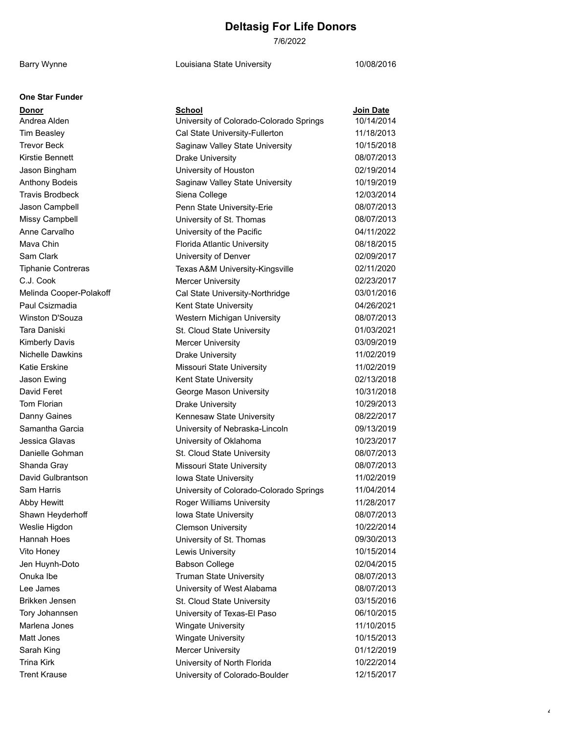7/6/2022

Barry Wynne **Louisiana State University** 10/08/2016

4

| One Star Funder |  |
|-----------------|--|
|-----------------|--|

| Donor                     | <b>School</b>                           | Join Date  |
|---------------------------|-----------------------------------------|------------|
| Andrea Alden              | University of Colorado-Colorado Springs | 10/14/2014 |
| <b>Tim Beasley</b>        | Cal State University-Fullerton          | 11/18/2013 |
| <b>Trevor Beck</b>        | Saginaw Valley State University         | 10/15/2018 |
| <b>Kirstie Bennett</b>    | <b>Drake University</b>                 | 08/07/2013 |
| Jason Bingham             | University of Houston                   | 02/19/2014 |
| <b>Anthony Bodeis</b>     | Saginaw Valley State University         | 10/19/2019 |
| <b>Travis Brodbeck</b>    | Siena College                           | 12/03/2014 |
| Jason Campbell            | Penn State University-Erie              | 08/07/2013 |
| Missy Campbell            | University of St. Thomas                | 08/07/2013 |
| Anne Carvalho             | University of the Pacific               | 04/11/2022 |
| Mava Chin                 | Florida Atlantic University             | 08/18/2015 |
| Sam Clark                 | University of Denver                    | 02/09/2017 |
| <b>Tiphanie Contreras</b> | Texas A&M University-Kingsville         | 02/11/2020 |
| C.J. Cook                 | <b>Mercer University</b>                | 02/23/2017 |
| Melinda Cooper-Polakoff   | Cal State University-Northridge         | 03/01/2016 |
| Paul Csizmadia            | Kent State University                   | 04/26/2021 |
| Winston D'Souza           | Western Michigan University             | 08/07/2013 |
| Tara Daniski              | St. Cloud State University              | 01/03/2021 |
| <b>Kimberly Davis</b>     | <b>Mercer University</b>                | 03/09/2019 |
| <b>Nichelle Dawkins</b>   | <b>Drake University</b>                 | 11/02/2019 |
| Katie Erskine             | Missouri State University               | 11/02/2019 |
| Jason Ewing               | Kent State University                   | 02/13/2018 |
| David Feret               | George Mason University                 | 10/31/2018 |
| Tom Florian               | <b>Drake University</b>                 | 10/29/2013 |
| Danny Gaines              | Kennesaw State University               | 08/22/2017 |
| Samantha Garcia           | University of Nebraska-Lincoln          | 09/13/2019 |
| Jessica Glavas            | University of Oklahoma                  | 10/23/2017 |
| Danielle Gohman           | St. Cloud State University              | 08/07/2013 |
| Shanda Gray               | <b>Missouri State University</b>        | 08/07/2013 |
| David Gulbrantson         | Iowa State University                   | 11/02/2019 |
| Sam Harris                | University of Colorado-Colorado Springs | 11/04/2014 |
| <b>Abby Hewitt</b>        | <b>Roger Williams University</b>        | 11/28/2017 |
| Shawn Heyderhoff          | Iowa State University                   | 08/07/2013 |
| Weslie Higdon             | <b>Clemson University</b>               | 10/22/2014 |
| Hannah Hoes               | University of St. Thomas                | 09/30/2013 |
| Vito Honey                | Lewis University                        | 10/15/2014 |
| Jen Huynh-Doto            | <b>Babson College</b>                   | 02/04/2015 |
| Onuka Ibe                 | <b>Truman State University</b>          | 08/07/2013 |
| Lee James                 | University of West Alabama              | 08/07/2013 |
| Brikken Jensen            | St. Cloud State University              | 03/15/2016 |
| Tory Johannsen            | University of Texas-El Paso             | 06/10/2015 |
| Marlena Jones             | <b>Wingate University</b>               | 11/10/2015 |
| Matt Jones                | <b>Wingate University</b>               | 10/15/2013 |
| Sarah King                | <b>Mercer University</b>                | 01/12/2019 |
| <b>Trina Kirk</b>         | University of North Florida             | 10/22/2014 |
| <b>Trent Krause</b>       | University of Colorado-Boulder          | 12/15/2017 |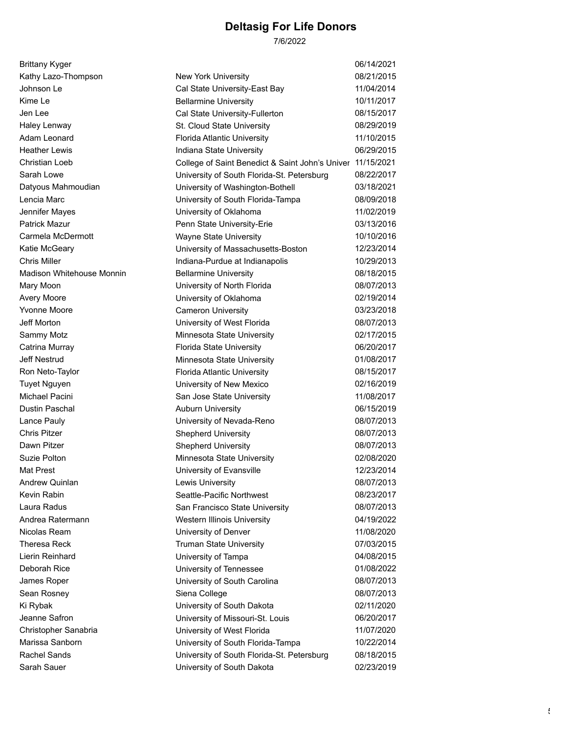7/6/2022

| <b>Brittany Kyger</b>            |                                                            | 06/14/2021 |
|----------------------------------|------------------------------------------------------------|------------|
| Kathy Lazo-Thompson              | New York University                                        | 08/21/2015 |
| Johnson Le                       | Cal State University-East Bay                              | 11/04/2014 |
| Kime Le                          | <b>Bellarmine University</b>                               | 10/11/2017 |
| Jen Lee                          | Cal State University-Fullerton                             | 08/15/2017 |
| Haley Lenway                     | St. Cloud State University                                 | 08/29/2019 |
| Adam Leonard                     | Florida Atlantic University                                | 11/10/2015 |
| <b>Heather Lewis</b>             | Indiana State University                                   | 06/29/2015 |
| Christian Loeb                   | College of Saint Benedict & Saint John's Univer 11/15/2021 |            |
| Sarah Lowe                       | University of South Florida-St. Petersburg                 | 08/22/2017 |
| Datyous Mahmoudian               | University of Washington-Bothell                           | 03/18/2021 |
| Lencia Marc                      | University of South Florida-Tampa                          | 08/09/2018 |
| Jennifer Mayes                   | University of Oklahoma                                     | 11/02/2019 |
| <b>Patrick Mazur</b>             | Penn State University-Erie                                 | 03/13/2016 |
| Carmela McDermott                | Wayne State University                                     | 10/10/2016 |
| Katie McGeary                    | University of Massachusetts-Boston                         | 12/23/2014 |
| <b>Chris Miller</b>              | Indiana-Purdue at Indianapolis                             | 10/29/2013 |
| <b>Madison Whitehouse Monnin</b> | <b>Bellarmine University</b>                               | 08/18/2015 |
| Mary Moon                        | University of North Florida                                | 08/07/2013 |
| <b>Avery Moore</b>               | University of Oklahoma                                     | 02/19/2014 |
| <b>Yvonne Moore</b>              | <b>Cameron University</b>                                  | 03/23/2018 |
| <b>Jeff Morton</b>               | University of West Florida                                 | 08/07/2013 |
| Sammy Motz                       | Minnesota State University                                 | 02/17/2015 |
| Catrina Murray                   | <b>Florida State University</b>                            | 06/20/2017 |
| <b>Jeff Nestrud</b>              | Minnesota State University                                 | 01/08/2017 |
| Ron Neto-Taylor                  | Florida Atlantic University                                | 08/15/2017 |
| <b>Tuyet Nguyen</b>              | University of New Mexico                                   | 02/16/2019 |
| Michael Pacini                   | San Jose State University                                  | 11/08/2017 |
| <b>Dustin Paschal</b>            | <b>Auburn University</b>                                   | 06/15/2019 |
| Lance Pauly                      | University of Nevada-Reno                                  | 08/07/2013 |
| Chris Pitzer                     | <b>Shepherd University</b>                                 | 08/07/2013 |
| Dawn Pitzer                      | <b>Shepherd University</b>                                 | 08/07/2013 |
| Suzie Polton                     | Minnesota State University                                 | 02/08/2020 |
| Mat Prest                        | University of Evansville                                   | 12/23/2014 |
| Andrew Quinlan                   | Lewis University                                           | 08/07/2013 |
| Kevin Rabin                      | Seattle-Pacific Northwest                                  | 08/23/2017 |
| Laura Radus                      | San Francisco State University                             | 08/07/2013 |
| Andrea Ratermann                 | Western Illinois University                                | 04/19/2022 |
| Nicolas Ream                     | University of Denver                                       | 11/08/2020 |
| Theresa Reck                     | <b>Truman State University</b>                             | 07/03/2015 |
| Lierin Reinhard                  | University of Tampa                                        | 04/08/2015 |
| Deborah Rice                     | University of Tennessee                                    | 01/08/2022 |
| James Roper                      | University of South Carolina                               | 08/07/2013 |
| Sean Rosney                      | Siena College                                              | 08/07/2013 |
| Ki Rybak                         | University of South Dakota                                 | 02/11/2020 |
| Jeanne Safron                    | University of Missouri-St. Louis                           | 06/20/2017 |
| Christopher Sanabria             | University of West Florida                                 | 11/07/2020 |
| Marissa Sanborn                  | University of South Florida-Tampa                          | 10/22/2014 |
| <b>Rachel Sands</b>              | University of South Florida-St. Petersburg                 | 08/18/2015 |
| Sarah Sauer                      | University of South Dakota                                 | 02/23/2019 |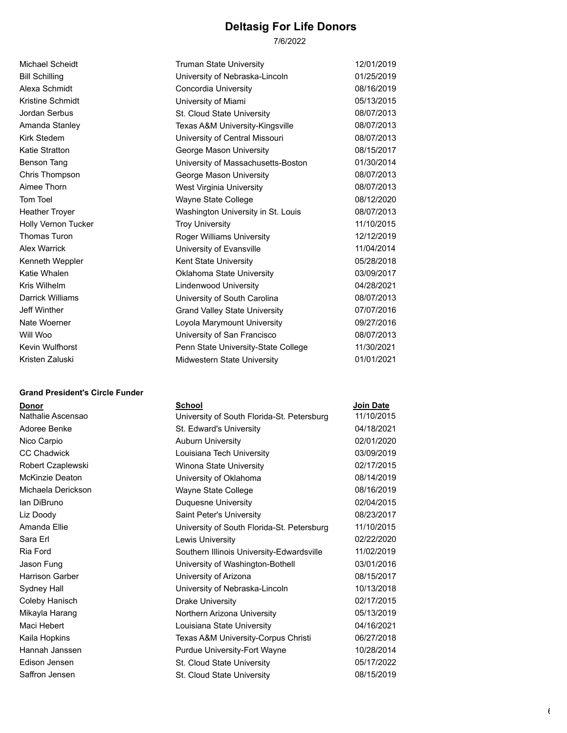7/6/2022

| Michael Scheidt            | Truman State University              | 12/01/2019 |
|----------------------------|--------------------------------------|------------|
| <b>Bill Schilling</b>      | University of Nebraska-Lincoln       | 01/25/2019 |
| Alexa Schmidt              | Concordia University                 | 08/16/2019 |
| Kristine Schmidt           | University of Miami                  | 05/13/2015 |
| Jordan Serbus              | St. Cloud State University           | 08/07/2013 |
| Amanda Stanley             | Texas A&M University-Kingsville      | 08/07/2013 |
| Kirk Stedem                | University of Central Missouri       | 08/07/2013 |
| Katie Stratton             | George Mason University              | 08/15/2017 |
| <b>Benson Tang</b>         | University of Massachusetts-Boston   | 01/30/2014 |
| Chris Thompson             | George Mason University              | 08/07/2013 |
| Aimee Thorn                | <b>West Virginia University</b>      | 08/07/2013 |
| Tom Toel                   | Wayne State College                  | 08/12/2020 |
| <b>Heather Troyer</b>      | Washington University in St. Louis   | 08/07/2013 |
| <b>Holly Vernon Tucker</b> | <b>Troy University</b>               | 11/10/2015 |
| Thomas Turon               | Roger Williams University            | 12/12/2019 |
| <b>Alex Warrick</b>        | University of Evansville             | 11/04/2014 |
| Kenneth Weppler            | Kent State University                | 05/28/2018 |
| Katie Whalen               | Oklahoma State University            | 03/09/2017 |
| Kris Wilhelm               | <b>Lindenwood University</b>         | 04/28/2021 |
| Darrick Williams           | University of South Carolina         | 08/07/2013 |
| Jeff Winther               | <b>Grand Valley State University</b> | 07/07/2016 |
| Nate Woerner               | Loyola Marymount University          | 09/27/2016 |
| Will Woo                   | University of San Francisco          | 08/07/2013 |
| Kevin Wulfhorst            | Penn State University-State College  | 11/30/2021 |
| Kristen Zaluski            | Midwestern State University          | 01/01/2021 |

#### **Grand President's Circle Funder**

#### **Donor School Join Date**

| Nathalie Ascensao      | University of South Florida-St. Petersburg | 11/10/2015 |
|------------------------|--------------------------------------------|------------|
| Adoree Benke           | St. Edward's University                    | 04/18/2021 |
| Nico Carpio            | <b>Auburn University</b>                   | 02/01/2020 |
| <b>CC Chadwick</b>     | Louisiana Tech University                  | 03/09/2019 |
| Robert Czaplewski      | Winona State University                    | 02/17/2015 |
| <b>McKinzie Deaton</b> | University of Oklahoma                     | 08/14/2019 |
| Michaela Derickson     | Wayne State College                        | 08/16/2019 |
| lan DiBruno            | Duquesne University                        | 02/04/2015 |
| Liz Doody              | Saint Peter's University                   | 08/23/2017 |
| Amanda Ellie           | University of South Florida-St. Petersburg | 11/10/2015 |
| Sara Erl               | Lewis University                           | 02/22/2020 |
| Ria Ford               | Southern Illinois University-Edwardsville  | 11/02/2019 |
| Jason Fung             | University of Washington-Bothell           | 03/01/2016 |
| <b>Harrison Garber</b> | University of Arizona                      | 08/15/2017 |
| Sydney Hall            | University of Nebraska-Lincoln             | 10/13/2018 |
| Coleby Hanisch         | <b>Drake University</b>                    | 02/17/2015 |
| Mikayla Harang         | Northern Arizona University                | 05/13/2019 |
| Maci Hebert            | Louisiana State University                 | 04/16/2021 |
| Kaila Hopkins          | Texas A&M University-Corpus Christi        | 06/27/2018 |
| Hannah Janssen         | Purdue University-Fort Wayne               | 10/28/2014 |
| Edison Jensen          | St. Cloud State University                 | 05/17/2022 |
| Saffron Jensen         | St. Cloud State University                 | 08/15/2019 |